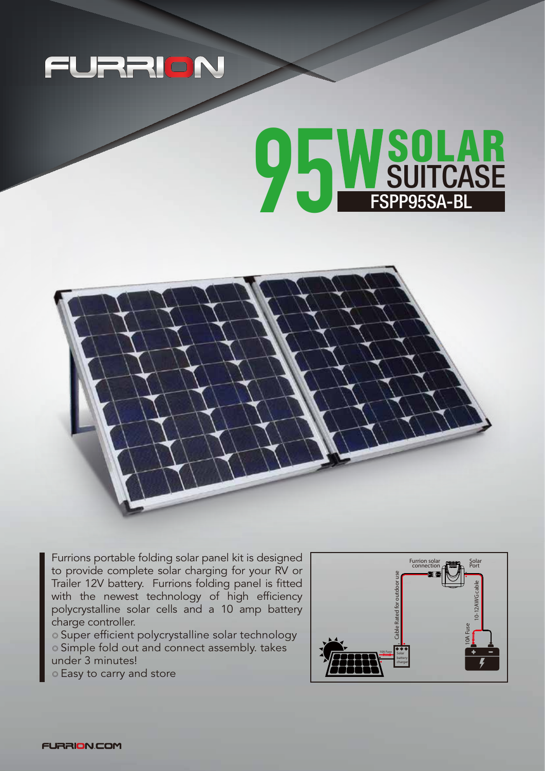

## **OEWSOLAR**<br>SUITCASE FSPP95SA-BL FSPP95SA-BL



Furrions portable folding solar panel kit is designed to provide complete solar charging for your RV or Trailer 12V battery. Furrions folding panel is fitted with the newest technology of high efficiency polycrystalline solar cells and a 10 amp battery charge controller.

◎ Super efficient polycrystalline solar technology ◎ Simple fold out and connect assembly. takes under 3 minutes!

◎ Easy to carry and store